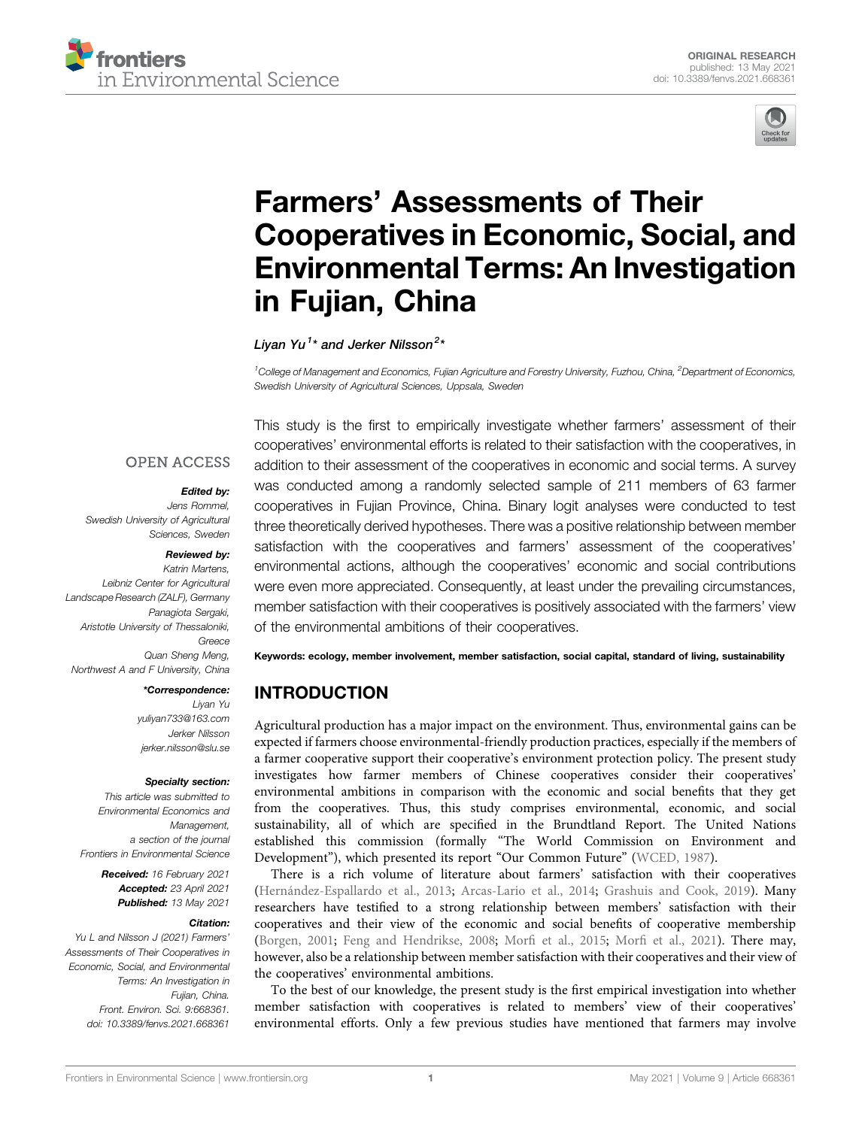



# Farmers' [Assessments of Their](https://www.frontiersin.org/articles/10.3389/fenvs.2021.668361/full) [Cooperatives in Economic, Social, and](https://www.frontiersin.org/articles/10.3389/fenvs.2021.668361/full) [Environmental Terms: An Investigation](https://www.frontiersin.org/articles/10.3389/fenvs.2021.668361/full) [in Fujian, China](https://www.frontiersin.org/articles/10.3389/fenvs.2021.668361/full)

Livan Yu $^{1\star}$  and Jerker Nilsson $^{2\star}$ 

<sup>1</sup>College of Management and Economics, Fujian Agriculture and Forestry University, Fuzhou, China, <sup>2</sup>Department of Economics, Swedish University of Agricultural Sciences, Uppsala, Sweden

## **OPEN ACCESS**

#### Edited by:

Jens Rommel, Swedish University of Agricultural Sciences, Sweden

#### Reviewed by:

Katrin Martens, Leibniz Center for Agricultural Landscape Research (ZALF), Germany Panagiota Sergaki, Aristotle University of Thessaloniki, Greece Quan Sheng Meng, Northwest A and F University, China

#### \*Correspondence:

Liyan Yu [yuliyan733@163.com](mailto:yuliyan733@163.com) Jerker Nilsson [jerker.nilsson@slu.se](mailto:jerker.nilsson@slu.se)

#### Specialty section:

This article was submitted to Environmental Economics and Management, a section of the journal Frontiers in Environmental Science

> Received: 16 February 2021 Accepted: 23 April 2021 Published: 13 May 2021

#### Citation:

Yu L and Nilsson J (2021) Farmers' Assessments of Their Cooperatives in Economic, Social, and Environmental Terms: An Investigation in Fujian, China. Front. Environ. Sci. 9:668361. doi: [10.3389/fenvs.2021.668361](https://doi.org/10.3389/fenvs.2021.668361)

This study is the first to empirically investigate whether farmers' assessment of their cooperatives' environmental efforts is related to their satisfaction with the cooperatives, in addition to their assessment of the cooperatives in economic and social terms. A survey was conducted among a randomly selected sample of 211 members of 63 farmer cooperatives in Fujian Province, China. Binary logit analyses were conducted to test three theoretically derived hypotheses. There was a positive relationship between member satisfaction with the cooperatives and farmers' assessment of the cooperatives' environmental actions, although the cooperatives' economic and social contributions were even more appreciated. Consequently, at least under the prevailing circumstances, member satisfaction with their cooperatives is positively associated with the farmers' view of the environmental ambitions of their cooperatives.

Keywords: ecology, member involvement, member satisfaction, social capital, standard of living, sustainability

## INTRODUCTION

Agricultural production has a major impact on the environment. Thus, environmental gains can be expected if farmers choose environmental-friendly production practices, especially if the members of a farmer cooperative support their cooperative's environment protection policy. The present study investigates how farmer members of Chinese cooperatives consider their cooperatives' environmental ambitions in comparison with the economic and social benefits that they get from the cooperatives. Thus, this study comprises environmental, economic, and social sustainability, all of which are specified in the Brundtland Report. The United Nations established this commission (formally "The World Commission on Environment and Development"), which presented its report "Our Common Future" ([WCED, 1987\)](#page-10-0).

There is a rich volume of literature about farmers' satisfaction with their cooperatives ([Hernández-Espallardo et al., 2013](#page-9-0); [Arcas-Lario et al., 2014](#page-8-0); [Grashuis and Cook, 2019](#page-8-1)). Many researchers have testified to a strong relationship between members' satisfaction with their cooperatives and their view of the economic and social benefits of cooperative membership ([Borgen, 2001;](#page-8-2) [Feng and Hendrikse, 2008](#page-8-3); Morfi [et al., 2015;](#page-9-1) Morfi [et al., 2021](#page-9-2)). There may, however, also be a relationship between member satisfaction with their cooperatives and their view of the cooperatives' environmental ambitions.

To the best of our knowledge, the present study is the first empirical investigation into whether member satisfaction with cooperatives is related to members' view of their cooperatives' environmental efforts. Only a few previous studies have mentioned that farmers may involve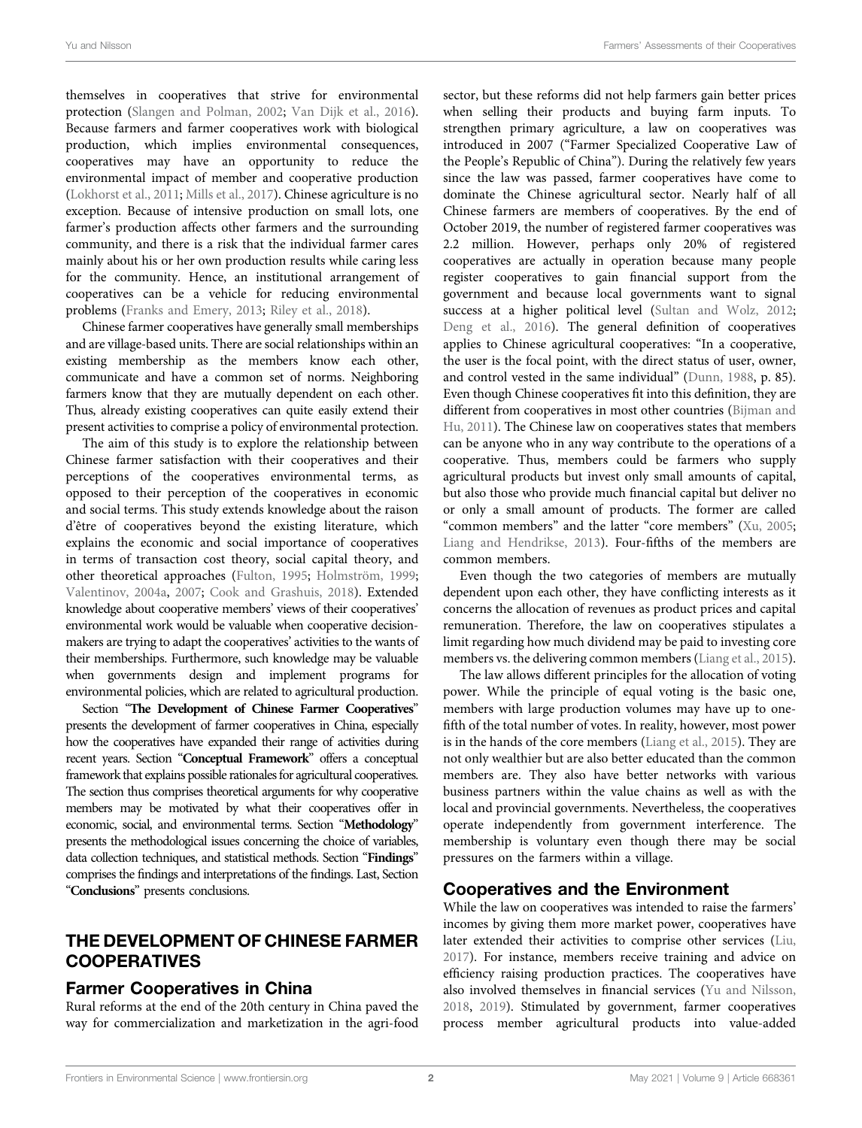themselves in cooperatives that strive for environmental protection [\(Slangen and Polman, 2002;](#page-9-3) [Van Dijk et al., 2016\)](#page-9-4). Because farmers and farmer cooperatives work with biological production, which implies environmental consequences, cooperatives may have an opportunity to reduce the environmental impact of member and cooperative production ([Lokhorst et al., 2011](#page-9-5); [Mills et al., 2017\)](#page-9-6). Chinese agriculture is no exception. Because of intensive production on small lots, one farmer's production affects other farmers and the surrounding community, and there is a risk that the individual farmer cares mainly about his or her own production results while caring less for the community. Hence, an institutional arrangement of cooperatives can be a vehicle for reducing environmental problems [\(Franks and Emery, 2013](#page-8-4); [Riley et al., 2018\)](#page-9-7).

Chinese farmer cooperatives have generally small memberships and are village-based units. There are social relationships within an existing membership as the members know each other, communicate and have a common set of norms. Neighboring farmers know that they are mutually dependent on each other. Thus, already existing cooperatives can quite easily extend their present activities to comprise a policy of environmental protection.

The aim of this study is to explore the relationship between Chinese farmer satisfaction with their cooperatives and their perceptions of the cooperatives environmental terms, as opposed to their perception of the cooperatives in economic and social terms. This study extends knowledge about the raison d'être of cooperatives beyond the existing literature, which explains the economic and social importance of cooperatives in terms of transaction cost theory, social capital theory, and other theoretical approaches [\(Fulton, 1995](#page-8-5); [Holmström, 1999](#page-9-8); [Valentinov, 2004a](#page-9-9), [2007](#page-9-10); [Cook and Grashuis, 2018\)](#page-8-6). Extended knowledge about cooperative members' views of their cooperatives' environmental work would be valuable when cooperative decisionmakers are trying to adapt the cooperatives' activities to the wants of their memberships. Furthermore, such knowledge may be valuable when governments design and implement programs for environmental policies, which are related to agricultural production.

Section "[The Development of Chinese Farmer Cooperatives](#page-1-0)" presents the development of farmer cooperatives in China, especially how the cooperatives have expanded their range of activities during recent years. Section "[Conceptual Framework](#page-2-0)" offers a conceptual framework that explains possible rationales for agricultural cooperatives. The section thus comprises theoretical arguments for why cooperative members may be motivated by what their cooperatives offer in economic, social, and environmental terms. Section "[Methodology](#page-4-0)" presents the methodological issues concerning the choice of variables, data collection techniques, and statistical methods. Section "[Findings](#page-6-0)" comprises the findings and interpretations of the findings. Last, Section "[Conclusions](#page-7-0)" presents conclusions.

## <span id="page-1-0"></span>THE DEVELOPMENT OF CHINESE FARMER **COOPERATIVES**

## Farmer Cooperatives in China

Rural reforms at the end of the 20th century in China paved the way for commercialization and marketization in the agri-food sector, but these reforms did not help farmers gain better prices when selling their products and buying farm inputs. To strengthen primary agriculture, a law on cooperatives was introduced in 2007 ("Farmer Specialized Cooperative Law of the People's Republic of China"). During the relatively few years since the law was passed, farmer cooperatives have come to dominate the Chinese agricultural sector. Nearly half of all Chinese farmers are members of cooperatives. By the end of October 2019, the number of registered farmer cooperatives was 2.2 million. However, perhaps only 20% of registered cooperatives are actually in operation because many people register cooperatives to gain financial support from the government and because local governments want to signal success at a higher political level ([Sultan and Wolz, 2012;](#page-9-11) [Deng et al., 2016\)](#page-8-7). The general definition of cooperatives applies to Chinese agricultural cooperatives: "In a cooperative, the user is the focal point, with the direct status of user, owner, and control vested in the same individual" [\(Dunn, 1988,](#page-8-8) p. 85). Even though Chinese cooperatives fit into this definition, they are different from cooperatives in most other countries ([Bijman and](#page-8-9) [Hu, 2011\)](#page-8-9). The Chinese law on cooperatives states that members can be anyone who in any way contribute to the operations of a cooperative. Thus, members could be farmers who supply agricultural products but invest only small amounts of capital, but also those who provide much financial capital but deliver no or only a small amount of products. The former are called "common members" and the latter "core members" [\(Xu, 2005;](#page-10-1) [Liang and Hendrikse, 2013\)](#page-9-12). Four-fifths of the members are common members.

Even though the two categories of members are mutually dependent upon each other, they have conflicting interests as it concerns the allocation of revenues as product prices and capital remuneration. Therefore, the law on cooperatives stipulates a limit regarding how much dividend may be paid to investing core members vs. the delivering common members ([Liang et al., 2015\)](#page-9-13).

The law allows different principles for the allocation of voting power. While the principle of equal voting is the basic one, members with large production volumes may have up to onefifth of the total number of votes. In reality, however, most power is in the hands of the core members ([Liang et al., 2015](#page-9-13)). They are not only wealthier but are also better educated than the common members are. They also have better networks with various business partners within the value chains as well as with the local and provincial governments. Nevertheless, the cooperatives operate independently from government interference. The membership is voluntary even though there may be social pressures on the farmers within a village.

## Cooperatives and the Environment

While the law on cooperatives was intended to raise the farmers' incomes by giving them more market power, cooperatives have later extended their activities to comprise other services [\(Liu,](#page-9-14) [2017](#page-9-14)). For instance, members receive training and advice on efficiency raising production practices. The cooperatives have also involved themselves in financial services [\(Yu and Nilsson,](#page-10-2) [2018](#page-10-2), [2019\)](#page-10-3). Stimulated by government, farmer cooperatives process member agricultural products into value-added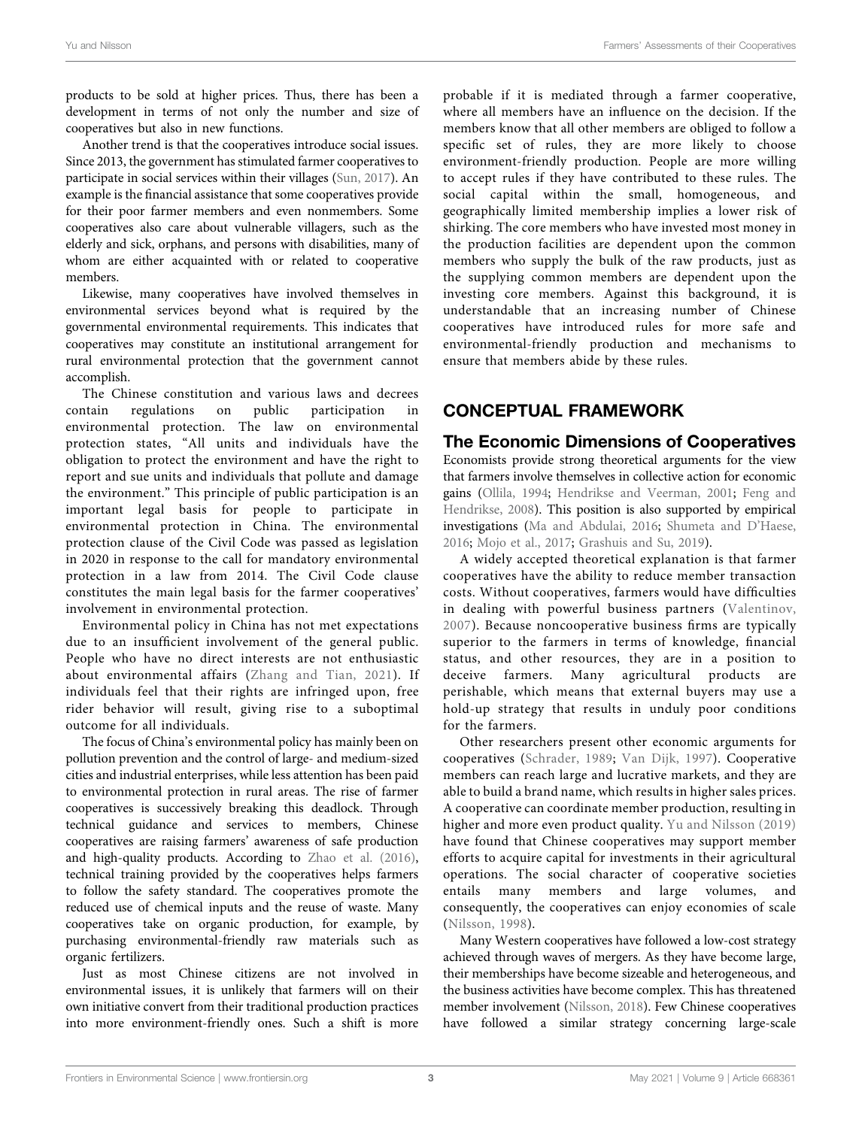products to be sold at higher prices. Thus, there has been a development in terms of not only the number and size of cooperatives but also in new functions.

Another trend is that the cooperatives introduce social issues. Since 2013, the government has stimulated farmer cooperatives to participate in social services within their villages ([Sun, 2017\)](#page-9-15). An example is the financial assistance that some cooperatives provide for their poor farmer members and even nonmembers. Some cooperatives also care about vulnerable villagers, such as the elderly and sick, orphans, and persons with disabilities, many of whom are either acquainted with or related to cooperative members.

Likewise, many cooperatives have involved themselves in environmental services beyond what is required by the governmental environmental requirements. This indicates that cooperatives may constitute an institutional arrangement for rural environmental protection that the government cannot accomplish.

The Chinese constitution and various laws and decrees contain regulations on public participation in environmental protection. The law on environmental protection states, "All units and individuals have the obligation to protect the environment and have the right to report and sue units and individuals that pollute and damage the environment." This principle of public participation is an important legal basis for people to participate in environmental protection in China. The environmental protection clause of the Civil Code was passed as legislation in 2020 in response to the call for mandatory environmental protection in a law from 2014. The Civil Code clause constitutes the main legal basis for the farmer cooperatives' involvement in environmental protection.

Environmental policy in China has not met expectations due to an insufficient involvement of the general public. People who have no direct interests are not enthusiastic about environmental affairs ([Zhang and Tian, 2021](#page-10-4)). If individuals feel that their rights are infringed upon, free rider behavior will result, giving rise to a suboptimal outcome for all individuals.

The focus of China's environmental policy has mainly been on pollution prevention and the control of large- and medium-sized cities and industrial enterprises, while less attention has been paid to environmental protection in rural areas. The rise of farmer cooperatives is successively breaking this deadlock. Through technical guidance and services to members, Chinese cooperatives are raising farmers' awareness of safe production and high-quality products. According to [Zhao et al. \(2016\)](#page-10-5), technical training provided by the cooperatives helps farmers to follow the safety standard. The cooperatives promote the reduced use of chemical inputs and the reuse of waste. Many cooperatives take on organic production, for example, by purchasing environmental-friendly raw materials such as organic fertilizers.

Just as most Chinese citizens are not involved in environmental issues, it is unlikely that farmers will on their own initiative convert from their traditional production practices into more environment-friendly ones. Such a shift is more

probable if it is mediated through a farmer cooperative, where all members have an influence on the decision. If the members know that all other members are obliged to follow a specific set of rules, they are more likely to choose environment-friendly production. People are more willing to accept rules if they have contributed to these rules. The social capital within the small, homogeneous, and geographically limited membership implies a lower risk of shirking. The core members who have invested most money in the production facilities are dependent upon the common members who supply the bulk of the raw products, just as the supplying common members are dependent upon the investing core members. Against this background, it is understandable that an increasing number of Chinese cooperatives have introduced rules for more safe and environmental-friendly production and mechanisms to ensure that members abide by these rules.

# <span id="page-2-0"></span>CONCEPTUAL FRAMEWORK

The Economic Dimensions of Cooperatives Economists provide strong theoretical arguments for the view that farmers involve themselves in collective action for economic gains [\(Ollila, 1994;](#page-9-16) [Hendrikse and Veerman, 2001;](#page-9-17) [Feng and](#page-8-3) [Hendrikse, 2008](#page-8-3)). This position is also supported by empirical investigations [\(Ma and Abdulai, 2016;](#page-9-18) [Shumeta and D](#page-9-19)'Haese, [2016](#page-9-19); [Mojo et al., 2017;](#page-9-20) [Grashuis and Su, 2019\)](#page-8-10).

A widely accepted theoretical explanation is that farmer cooperatives have the ability to reduce member transaction costs. Without cooperatives, farmers would have difficulties in dealing with powerful business partners ([Valentinov,](#page-9-10) [2007\)](#page-9-10). Because noncooperative business firms are typically superior to the farmers in terms of knowledge, financial status, and other resources, they are in a position to deceive farmers. Many agricultural products are perishable, which means that external buyers may use a hold-up strategy that results in unduly poor conditions for the farmers.

Other researchers present other economic arguments for cooperatives ([Schrader, 1989](#page-9-21); [Van Dijk, 1997](#page-9-22)). Cooperative members can reach large and lucrative markets, and they are able to build a brand name, which results in higher sales prices. A cooperative can coordinate member production, resulting in higher and more even product quality. [Yu and Nilsson \(2019\)](#page-10-3) have found that Chinese cooperatives may support member efforts to acquire capital for investments in their agricultural operations. The social character of cooperative societies entails many members and large volumes, and consequently, the cooperatives can enjoy economies of scale ([Nilsson, 1998](#page-9-23)).

Many Western cooperatives have followed a low-cost strategy achieved through waves of mergers. As they have become large, their memberships have become sizeable and heterogeneous, and the business activities have become complex. This has threatened member involvement ([Nilsson, 2018](#page-9-24)). Few Chinese cooperatives have followed a similar strategy concerning large-scale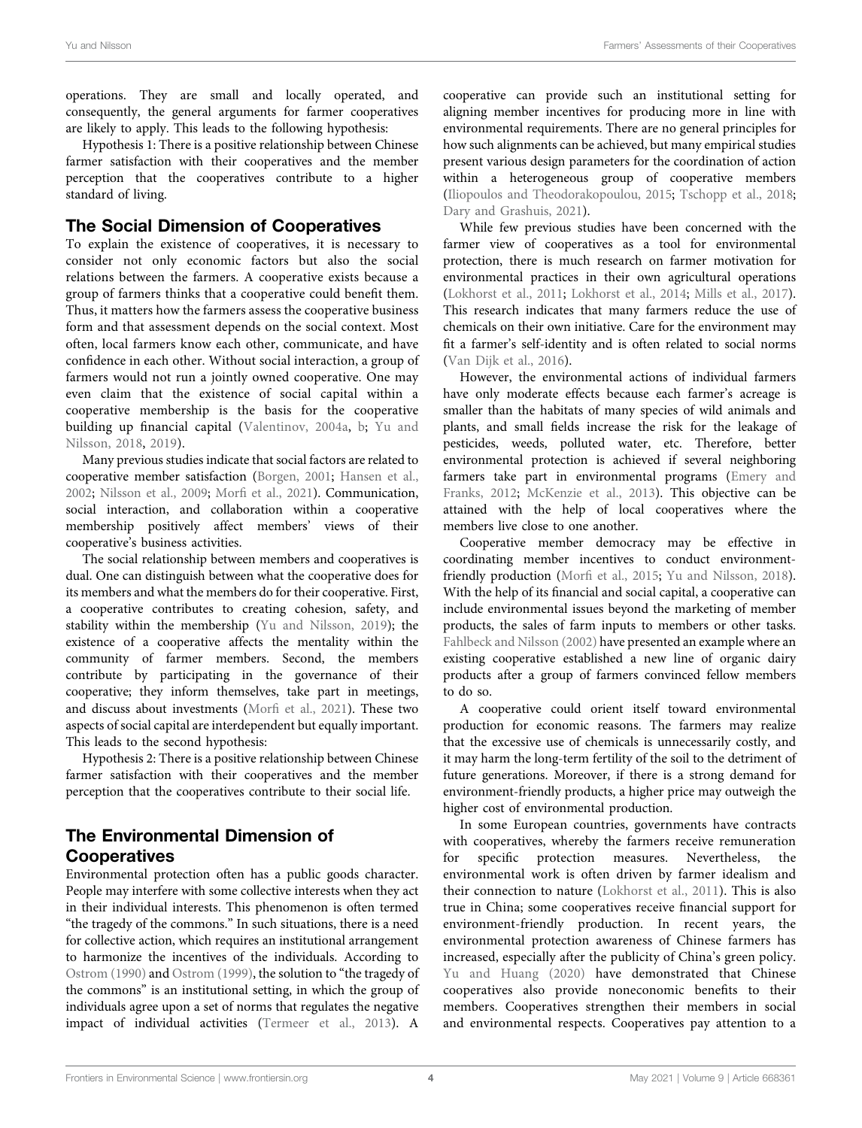operations. They are small and locally operated, and consequently, the general arguments for farmer cooperatives are likely to apply. This leads to the following hypothesis:

Hypothesis 1: There is a positive relationship between Chinese farmer satisfaction with their cooperatives and the member perception that the cooperatives contribute to a higher standard of living.

## The Social Dimension of Cooperatives

To explain the existence of cooperatives, it is necessary to consider not only economic factors but also the social relations between the farmers. A cooperative exists because a group of farmers thinks that a cooperative could benefit them. Thus, it matters how the farmers assess the cooperative business form and that assessment depends on the social context. Most often, local farmers know each other, communicate, and have confidence in each other. Without social interaction, a group of farmers would not run a jointly owned cooperative. One may even claim that the existence of social capital within a cooperative membership is the basis for the cooperative building up financial capital [\(Valentinov, 2004a](#page-9-9), [b](#page-9-25); [Yu and](#page-10-2) [Nilsson, 2018](#page-10-2), [2019](#page-10-3)).

Many previous studies indicate that social factors are related to cooperative member satisfaction ([Borgen, 2001;](#page-8-2) [Hansen et al.,](#page-8-11) [2002](#page-8-11); [Nilsson et al., 2009](#page-9-26); Morfi [et al., 2021](#page-9-2)). Communication, social interaction, and collaboration within a cooperative membership positively affect members' views of their cooperative's business activities.

The social relationship between members and cooperatives is dual. One can distinguish between what the cooperative does for its members and what the members do for their cooperative. First, a cooperative contributes to creating cohesion, safety, and stability within the membership ([Yu and Nilsson, 2019](#page-10-3)); the existence of a cooperative affects the mentality within the community of farmer members. Second, the members contribute by participating in the governance of their cooperative; they inform themselves, take part in meetings, and discuss about investments (Morfi [et al., 2021\)](#page-9-2). These two aspects of social capital are interdependent but equally important. This leads to the second hypothesis:

Hypothesis 2: There is a positive relationship between Chinese farmer satisfaction with their cooperatives and the member perception that the cooperatives contribute to their social life.

# The Environmental Dimension of Cooperatives

Environmental protection often has a public goods character. People may interfere with some collective interests when they act in their individual interests. This phenomenon is often termed "the tragedy of the commons." In such situations, there is a need for collective action, which requires an institutional arrangement to harmonize the incentives of the individuals. According to [Ostrom \(1990\)](#page-9-27) and [Ostrom \(1999\),](#page-9-28) the solution to "the tragedy of the commons" is an institutional setting, in which the group of individuals agree upon a set of norms that regulates the negative impact of individual activities [\(Termeer et al., 2013](#page-9-29)). A

cooperative can provide such an institutional setting for aligning member incentives for producing more in line with environmental requirements. There are no general principles for how such alignments can be achieved, but many empirical studies present various design parameters for the coordination of action within a heterogeneous group of cooperative members [\(Iliopoulos and Theodorakopoulou, 2015](#page-9-30); [Tschopp et al., 2018;](#page-9-31) [Dary and Grashuis, 2021](#page-8-12)).

While few previous studies have been concerned with the farmer view of cooperatives as a tool for environmental protection, there is much research on farmer motivation for environmental practices in their own agricultural operations [\(Lokhorst et al., 2011](#page-9-5); [Lokhorst et al., 2014](#page-9-32); [Mills et al., 2017\)](#page-9-6). This research indicates that many farmers reduce the use of chemicals on their own initiative. Care for the environment may fit a farmer's self-identity and is often related to social norms [\(Van Dijk et al., 2016\)](#page-9-4).

However, the environmental actions of individual farmers have only moderate effects because each farmer's acreage is smaller than the habitats of many species of wild animals and plants, and small fields increase the risk for the leakage of pesticides, weeds, polluted water, etc. Therefore, better environmental protection is achieved if several neighboring farmers take part in environmental programs ([Emery and](#page-8-13) [Franks, 2012](#page-8-13); [McKenzie et al., 2013\)](#page-9-33). This objective can be attained with the help of local cooperatives where the members live close to one another.

Cooperative member democracy may be effective in coordinating member incentives to conduct environmentfriendly production (Morfi [et al., 2015](#page-9-1); [Yu and Nilsson, 2018\)](#page-10-2). With the help of its financial and social capital, a cooperative can include environmental issues beyond the marketing of member products, the sales of farm inputs to members or other tasks. [Fahlbeck and Nilsson \(2002\)](#page-8-14) have presented an example where an existing cooperative established a new line of organic dairy products after a group of farmers convinced fellow members to do so.

A cooperative could orient itself toward environmental production for economic reasons. The farmers may realize that the excessive use of chemicals is unnecessarily costly, and it may harm the long-term fertility of the soil to the detriment of future generations. Moreover, if there is a strong demand for environment-friendly products, a higher price may outweigh the higher cost of environmental production.

In some European countries, governments have contracts with cooperatives, whereby the farmers receive remuneration for specific protection measures. Nevertheless, the environmental work is often driven by farmer idealism and their connection to nature ([Lokhorst et al., 2011\)](#page-9-5). This is also true in China; some cooperatives receive financial support for environment-friendly production. In recent years, the environmental protection awareness of Chinese farmers has increased, especially after the publicity of China's green policy. [Yu and Huang \(2020\)](#page-10-6) have demonstrated that Chinese cooperatives also provide noneconomic benefits to their members. Cooperatives strengthen their members in social and environmental respects. Cooperatives pay attention to a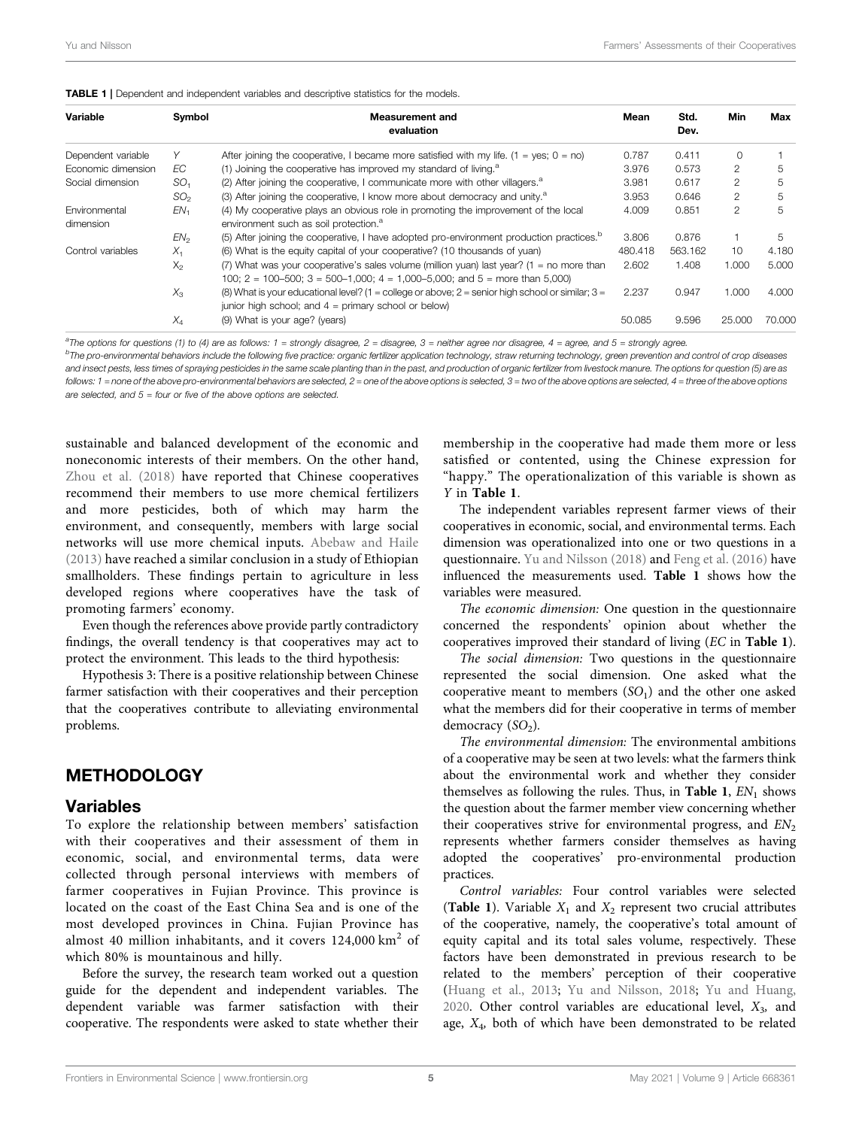<span id="page-4-1"></span>

| Variable                   | Symbol          | Measurement and<br>evaluation                                                                                                                                          | Mean    | Std.<br>Dev. | Min            | Max    |
|----------------------------|-----------------|------------------------------------------------------------------------------------------------------------------------------------------------------------------------|---------|--------------|----------------|--------|
| Dependent variable         |                 | After joining the cooperative, I became more satisfied with my life. $(1 = yes; 0 = no)$                                                                               | 0.787   | 0.411        |                |        |
| Economic dimension         | ЕC              | (1) Joining the cooperative has improved my standard of living. $a$                                                                                                    | 3.976   | 0.573        | 2              | 5      |
| Social dimension           | SO <sub>1</sub> | $(2)$ After joining the cooperative, I communicate more with other villagers. <sup>a</sup>                                                                             | 3.981   | 0.617        | 2              | 5      |
|                            | SO <sub>2</sub> | (3) After joining the cooperative, I know more about democracy and unity. <sup>a</sup>                                                                                 | 3.953   | 0.646        | 2              | 5      |
| Environmental<br>dimension | EN <sub>1</sub> | (4) My cooperative plays an obvious role in promoting the improvement of the local<br>environment such as soil protection. <sup>a</sup>                                | 4.009   | 0.851        | $\mathfrak{p}$ | 5      |
|                            | EN <sub>2</sub> | (5) After joining the cooperative, I have adopted pro-environment production practices. <sup>19</sup>                                                                  | 3.806   | 0.876        |                | 5      |
| Control variables          | $X_1$           | (6) What is the equity capital of your cooperative? (10 thousands of yuan)                                                                                             | 480.418 | 563.162      | 10             | 4.180  |
|                            | $X_{2}$         | (7) What was your cooperative's sales volume (million yuan) last year? (1 = no more than<br>100; 2 = 100-500; 3 = 500-1,000; 4 = 1,000-5,000; and 5 = more than 5,000) | 2.602   | 1.408        | 1.000          | 5.000  |
|                            | $X_3$           | (8) What is your educational level? (1 = college or above; 2 = senior high school or similar; $3 =$<br>junior high school; and $4 =$ primary school or below)          | 2.237   | 0.947        | 1.000          | 4.000  |
|                            | $X_4$           | (9) What is your age? (years)                                                                                                                                          | 50.085  | 9.596        | 25,000         | 70.000 |

 ${}^{a}$ The options for questions (1) to (4) are as follows: 1 = strongly disagree, 2 = disagree, 3 = neither agree nor disagree, 4 = agree, and 5 = strongly agree.<br>PThe pro-environmental behaviors include the following fiv

<sup>b</sup>The pro-environmental behaviors include the following five practice: organic fertilizer application technology, straw returning technology, green prevention and control of crop diseases and insect pests, less times of spraying pesticides in the same scale planting than in the past, and production of organic fertilizer from livestock manure. The options for question (5) are as follows: 1 = none of the above pro-environmental behaviors are selected,  $2$  = one of the above options is selected, 3 = two of the above options are selected, 4 = three of the above options are selected, and  $5 =$  four or five of the above options are selected.

sustainable and balanced development of the economic and noneconomic interests of their members. On the other hand, [Zhou et al. \(2018\)](#page-10-7) have reported that Chinese cooperatives recommend their members to use more chemical fertilizers and more pesticides, both of which may harm the environment, and consequently, members with large social networks will use more chemical inputs. [Abebaw and Haile](#page-8-15) [\(2013\)](#page-8-15) have reached a similar conclusion in a study of Ethiopian smallholders. These findings pertain to agriculture in less developed regions where cooperatives have the task of promoting farmers' economy.

Even though the references above provide partly contradictory findings, the overall tendency is that cooperatives may act to protect the environment. This leads to the third hypothesis:

Hypothesis 3: There is a positive relationship between Chinese farmer satisfaction with their cooperatives and their perception that the cooperatives contribute to alleviating environmental problems.

## <span id="page-4-0"></span>**METHODOLOGY**

#### Variables

To explore the relationship between members' satisfaction with their cooperatives and their assessment of them in economic, social, and environmental terms, data were collected through personal interviews with members of farmer cooperatives in Fujian Province. This province is located on the coast of the East China Sea and is one of the most developed provinces in China. Fujian Province has almost 40 million inhabitants, and it covers  $124,000 \text{ km}^2$  of which 80% is mountainous and hilly.

Before the survey, the research team worked out a question guide for the dependent and independent variables. The dependent variable was farmer satisfaction with their cooperative. The respondents were asked to state whether their membership in the cooperative had made them more or less satisfied or contented, using the Chinese expression for "happy." The operationalization of this variable is shown as Y in [Table 1](#page-4-1).

The independent variables represent farmer views of their cooperatives in economic, social, and environmental terms. Each dimension was operationalized into one or two questions in a questionnaire. [Yu and Nilsson \(2018\)](#page-10-2) and [Feng et al. \(2016\)](#page-8-16) have influenced the measurements used. [Table 1](#page-4-1) shows how the variables were measured.

The economic dimension: One question in the questionnaire concerned the respondents' opinion about whether the cooperatives improved their standard of living (EC in [Table 1](#page-4-1)).

The social dimension: Two questions in the questionnaire represented the social dimension. One asked what the cooperative meant to members  $(SO<sub>1</sub>)$  and the other one asked what the members did for their cooperative in terms of member democracy  $(SO<sub>2</sub>)$ .

The environmental dimension: The environmental ambitions of a cooperative may be seen at two levels: what the farmers think about the environmental work and whether they consider themselves as following the rules. Thus, in [Table 1](#page-4-1),  $EN_1$  shows the question about the farmer member view concerning whether their cooperatives strive for environmental progress, and  $EN<sub>2</sub>$ represents whether farmers consider themselves as having adopted the cooperatives' pro-environmental production practices.

Control variables: Four control variables were selected ([Table 1](#page-4-1)). Variable  $X_1$  and  $X_2$  represent two crucial attributes of the cooperative, namely, the cooperative's total amount of equity capital and its total sales volume, respectively. These factors have been demonstrated in previous research to be related to the members' perception of their cooperative [\(Huang et al., 2013](#page-9-34); [Yu and Nilsson, 2018](#page-10-2); [Yu and Huang,](#page-10-6) [2020](#page-10-6). Other control variables are educational level,  $X_3$ , and age, X4, both of which have been demonstrated to be related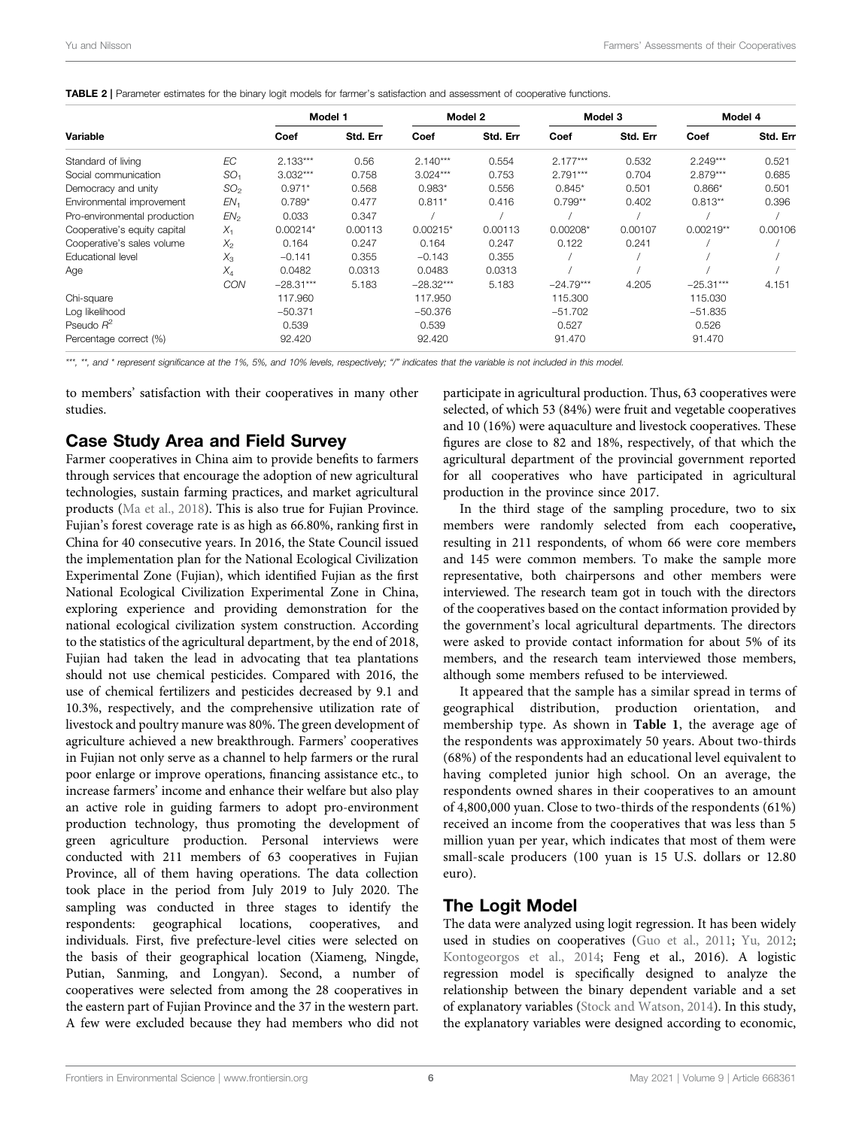<span id="page-5-0"></span>

|  | TABLE 2   Parameter estimates for the binary logit models for farmer's satisfaction and assessment of cooperative functions. |  |
|--|------------------------------------------------------------------------------------------------------------------------------|--|
|--|------------------------------------------------------------------------------------------------------------------------------|--|

|                              |                 | Model 1     |          | Model 2     |          | Model 3     |          | Model 4     |          |
|------------------------------|-----------------|-------------|----------|-------------|----------|-------------|----------|-------------|----------|
| Variable                     |                 | Coef        | Std. Err | Coef        | Std. Err | Coef        | Std. Err | Coef        | Std. Err |
| Standard of living           | EC              | $2.133***$  | 0.56     | $2.140***$  | 0.554    | $2.177***$  | 0.532    | $2.249***$  | 0.521    |
| Social communication         | SO <sub>1</sub> | $3.032***$  | 0.758    | $3.024***$  | 0.753    | $2.791***$  | 0.704    | $2.879***$  | 0.685    |
| Democracy and unity          | SO <sub>2</sub> | $0.971*$    | 0.568    | $0.983*$    | 0.556    | $0.845*$    | 0.501    | $0.866*$    | 0.501    |
| Environmental improvement    | EN <sub>1</sub> | $0.789*$    | 0.477    | $0.811*$    | 0.416    | $0.799**$   | 0.402    | $0.813**$   | 0.396    |
| Pro-environmental production | EN <sub>2</sub> | 0.033       | 0.347    |             |          |             |          |             |          |
| Cooperative's equity capital | $X_1$           | $0.00214*$  | 0.00113  | $0.00215*$  | 0.00113  | $0.00208*$  | 0.00107  | $0.00219**$ | 0.00106  |
| Cooperative's sales volume   | $X_{2}$         | 0.164       | 0.247    | 0.164       | 0.247    | 0.122       | 0.241    |             |          |
| Educational level            | $X_{3}$         | $-0.141$    | 0.355    | $-0.143$    | 0.355    |             |          |             |          |
| Age                          | $X_4$           | 0.0482      | 0.0313   | 0.0483      | 0.0313   |             |          |             |          |
|                              | CON             | $-28.31***$ | 5.183    | $-28.32***$ | 5.183    | $-24.79***$ | 4.205    | $-25.31***$ | 4.151    |
| Chi-square                   |                 | 117.960     |          | 117.950     |          | 115,300     |          | 115.030     |          |
| Log likelihood               |                 | $-50.371$   |          | $-50.376$   |          | $-51.702$   |          | $-51.835$   |          |
| Pseudo $R^2$                 |                 | 0.539       |          | 0.539       |          | 0.527       |          | 0.526       |          |
| Percentage correct (%)       |                 | 92.420      |          | 92.420      |          | 91.470      |          | 91.470      |          |

\*\*\*, \*\*, and \* represent significance at the 1%, 5%, and 10% levels, respectively; "/" indicates that the variable is not included in this model.

to members' satisfaction with their cooperatives in many other studies.

## Case Study Area and Field Survey

Farmer cooperatives in China aim to provide benefits to farmers through services that encourage the adoption of new agricultural technologies, sustain farming practices, and market agricultural products ([Ma et al., 2018](#page-9-35)). This is also true for Fujian Province. Fujian's forest coverage rate is as high as 66.80%, ranking first in China for 40 consecutive years. In 2016, the State Council issued the implementation plan for the National Ecological Civilization Experimental Zone (Fujian), which identified Fujian as the first National Ecological Civilization Experimental Zone in China, exploring experience and providing demonstration for the national ecological civilization system construction. According to the statistics of the agricultural department, by the end of 2018, Fujian had taken the lead in advocating that tea plantations should not use chemical pesticides. Compared with 2016, the use of chemical fertilizers and pesticides decreased by 9.1 and 10.3%, respectively, and the comprehensive utilization rate of livestock and poultry manure was 80%. The green development of agriculture achieved a new breakthrough. Farmers' cooperatives in Fujian not only serve as a channel to help farmers or the rural poor enlarge or improve operations, financing assistance etc., to increase farmers' income and enhance their welfare but also play an active role in guiding farmers to adopt pro-environment production technology, thus promoting the development of green agriculture production. Personal interviews were conducted with 211 members of 63 cooperatives in Fujian Province, all of them having operations. The data collection took place in the period from July 2019 to July 2020. The sampling was conducted in three stages to identify the respondents: geographical locations, cooperatives, and individuals. First, five prefecture-level cities were selected on the basis of their geographical location (Xiameng, Ningde, Putian, Sanming, and Longyan). Second, a number of cooperatives were selected from among the 28 cooperatives in the eastern part of Fujian Province and the 37 in the western part. A few were excluded because they had members who did not

participate in agricultural production. Thus, 63 cooperatives were selected, of which 53 (84%) were fruit and vegetable cooperatives and 10 (16%) were aquaculture and livestock cooperatives. These figures are close to 82 and 18%, respectively, of that which the agricultural department of the provincial government reported for all cooperatives who have participated in agricultural production in the province since 2017.

In the third stage of the sampling procedure, two to six members were randomly selected from each cooperative, resulting in 211 respondents, of whom 66 were core members and 145 were common members. To make the sample more representative, both chairpersons and other members were interviewed. The research team got in touch with the directors of the cooperatives based on the contact information provided by the government's local agricultural departments. The directors were asked to provide contact information for about 5% of its members, and the research team interviewed those members, although some members refused to be interviewed.

It appeared that the sample has a similar spread in terms of geographical distribution, production orientation, and membership type. As shown in [Table 1](#page-4-1), the average age of the respondents was approximately 50 years. About two-thirds (68%) of the respondents had an educational level equivalent to having completed junior high school. On an average, the respondents owned shares in their cooperatives to an amount of 4,800,000 yuan. Close to two-thirds of the respondents (61%) received an income from the cooperatives that was less than 5 million yuan per year, which indicates that most of them were small-scale producers (100 yuan is 15 U.S. dollars or 12.80 euro).

## The Logit Model

The data were analyzed using logit regression. It has been widely used in studies on cooperatives ([Guo et al., 2011;](#page-8-17) [Yu, 2012;](#page-10-8) [Kontogeorgos et al., 2014;](#page-9-36) Feng et al., 2016). A logistic regression model is specifically designed to analyze the relationship between the binary dependent variable and a set of explanatory variables [\(Stock and Watson, 2014\)](#page-9-37). In this study, the explanatory variables were designed according to economic,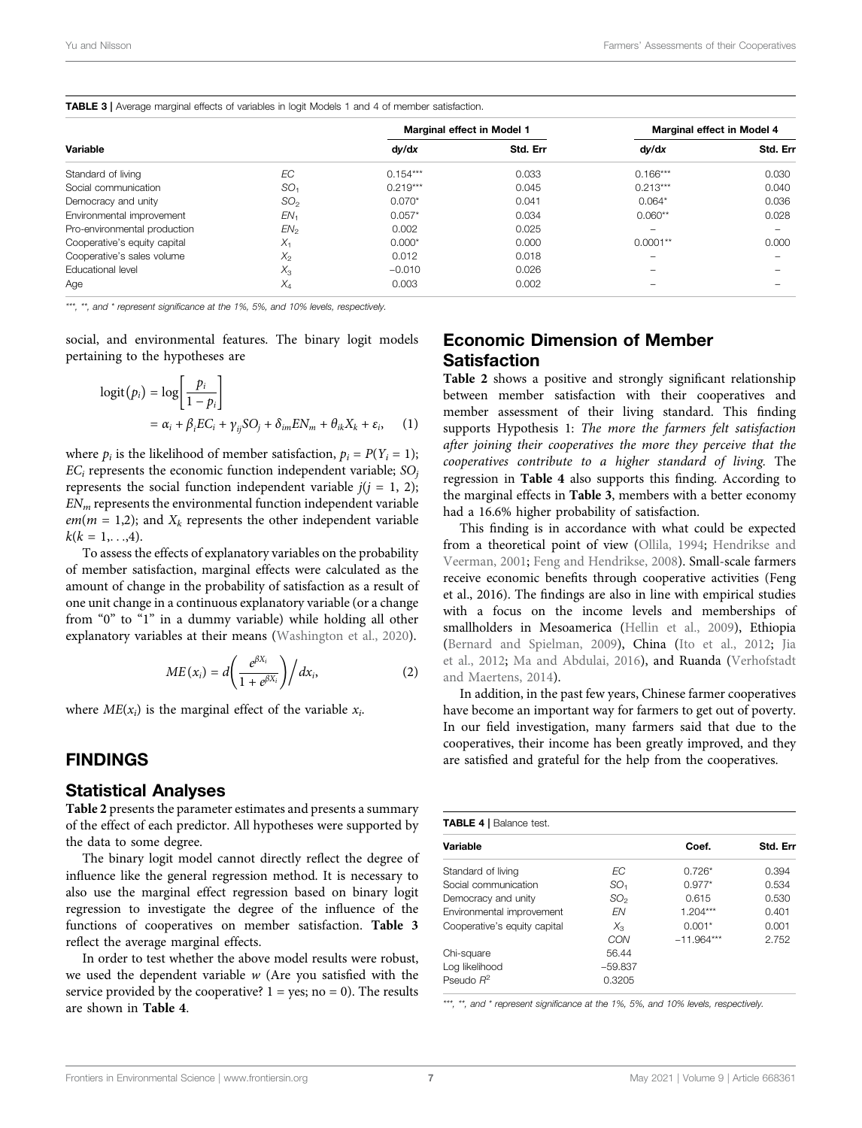<span id="page-6-1"></span>

| TABLE 3   Average marginal effects of variables in logit Models 1 and 4 of member satisfaction. |  |
|-------------------------------------------------------------------------------------------------|--|
|-------------------------------------------------------------------------------------------------|--|

|                              |                 | Marginal effect in Model 1 |          | Marginal effect in Model 4 |          |  |
|------------------------------|-----------------|----------------------------|----------|----------------------------|----------|--|
| Variable                     |                 | dy/dx                      | Std. Err | dy/dx                      | Std. Err |  |
| Standard of living           | ЕC              | $0.154***$                 | 0.033    | $0.166***$                 | 0.030    |  |
| Social communication         | SO <sub>1</sub> | $0.219***$                 | 0.045    | $0.213***$                 | 0.040    |  |
| Democracy and unity          | SO <sub>2</sub> | $0.070*$                   | 0.041    | $0.064*$                   | 0.036    |  |
| Environmental improvement    | EN <sub>1</sub> | $0.057*$                   | 0.034    | $0.060**$                  | 0.028    |  |
| Pro-environmental production | EN <sub>2</sub> | 0.002                      | 0.025    | -                          |          |  |
| Cooperative's equity capital | $X_1$           | $0.000*$                   | 0.000    | $0.0001**$                 | 0.000    |  |
| Cooperative's sales volume   | $X_{2}$         | 0.012                      | 0.018    |                            |          |  |
| <b>Educational level</b>     | $X_3$           | $-0.010$                   | 0.026    |                            |          |  |
| Age                          | $X_4$           | 0.003                      | 0.002    |                            |          |  |

\*\*\*, \*\*, and \* represent significance at the 1%, 5%, and 10% levels, respectively.

social, and environmental features. The binary logit models pertaining to the hypotheses are

$$
logit(p_i) = log\left[\frac{p_i}{1 - p_i}\right]
$$
  
=  $\alpha_i + \beta_i EC_i + \gamma_{ij}SO_j + \delta_{im}EN_m + \theta_{ik}X_k + \varepsilon_i$ , (1)

where  $p_i$  is the likelihood of member satisfaction,  $p_i = P(Y_i = 1);$  $EC_i$  represents the economic function independent variable;  $SO_i$ represents the social function independent variable  $j(j = 1, 2)$ ;  $EN<sub>m</sub>$  represents the environmental function independent variable  $em(m = 1,2)$ ; and  $X_k$  represents the other independent variable  $k(k = 1, \ldots, 4).$ 

To assess the effects of explanatory variables on the probability of member satisfaction, marginal effects were calculated as the amount of change in the probability of satisfaction as a result of one unit change in a continuous explanatory variable (or a change from "0" to "1" in a dummy variable) while holding all other explanatory variables at their means ([Washington et al., 2020](#page-9-38)).

$$
ME(x_i) = d\left(\frac{e^{\beta X_i}}{1 + e^{\beta X_i}}\right) / dx_i,
$$
\n(2)

where  $ME(x_i)$  is the marginal effect of the variable  $x_i$ .

### <span id="page-6-0"></span>FINDINGS

#### Statistical Analyses

[Table 2](#page-5-0) presents the parameter estimates and presents a summary of the effect of each predictor. All hypotheses were supported by the data to some degree.

The binary logit model cannot directly reflect the degree of influence like the general regression method. It is necessary to also use the marginal effect regression based on binary logit regression to investigate the degree of the influence of the functions of cooperatives on member satisfaction. [Table 3](#page-6-1) reflect the average marginal effects.

In order to test whether the above model results were robust, we used the dependent variable  $w$  (Are you satisfied with the service provided by the cooperative?  $1 = yes$ ; no = 0). The results are shown in [Table 4](#page-6-2).

## Economic Dimension of Member **Satisfaction**

[Table 2](#page-5-0) shows a positive and strongly significant relationship between member satisfaction with their cooperatives and member assessment of their living standard. This finding supports Hypothesis 1: The more the farmers felt satisfaction after joining their cooperatives the more they perceive that the cooperatives contribute to a higher standard of living. The regression in [Table 4](#page-6-2) also supports this finding. According to the marginal effects in [Table 3](#page-6-1), members with a better economy had a 16.6% higher probability of satisfaction.

This finding is in accordance with what could be expected from a theoretical point of view [\(Ollila, 1994](#page-9-16); [Hendrikse and](#page-9-17) [Veerman, 2001;](#page-9-17) [Feng and Hendrikse, 2008](#page-8-3)). Small-scale farmers receive economic benefits through cooperative activities (Feng et al., 2016). The findings are also in line with empirical studies with a focus on the income levels and memberships of smallholders in Mesoamerica ([Hellin et al., 2009](#page-9-39)), Ethiopia [\(Bernard and Spielman, 2009](#page-8-18)), China [\(Ito et al., 2012;](#page-9-40) [Jia](#page-9-41) [et al., 2012;](#page-9-41) [Ma and Abdulai, 2016](#page-9-18)), and Ruanda [\(Verhofstadt](#page-9-42) [and Maertens, 2014](#page-9-42)).

In addition, in the past few years, Chinese farmer cooperatives have become an important way for farmers to get out of poverty. In our field investigation, many farmers said that due to the cooperatives, their income has been greatly improved, and they are satisfied and grateful for the help from the cooperatives.

<span id="page-6-2"></span>

| <b>TABLE 4   Balance test.</b> |                 |              |       |  |  |
|--------------------------------|-----------------|--------------|-------|--|--|
| Variable                       | Coef.           | Std. Err     |       |  |  |
| Standard of living             | FС              | $0.726*$     | 0.394 |  |  |
| Social communication           | SO <sub>1</sub> | $0.977*$     | 0.534 |  |  |
| Democracy and unity            | SO <sub>2</sub> | 0.615        | 0.530 |  |  |
| Environmental improvement      | <b>FN</b>       | $1.204***$   | 0.401 |  |  |
| Cooperative's equity capital   | $X_{3}$         | $0.001*$     | 0.001 |  |  |
|                                | CON             | $-11.964***$ | 2.752 |  |  |
| Chi-square                     | 56.44           |              |       |  |  |
| Log likelihood                 | $-59.837$       |              |       |  |  |
| Pseudo $R^2$                   | 0.3205          |              |       |  |  |

\*\*\*, \*\*, and \* represent significance at the 1%, 5%, and 10% levels, respectively.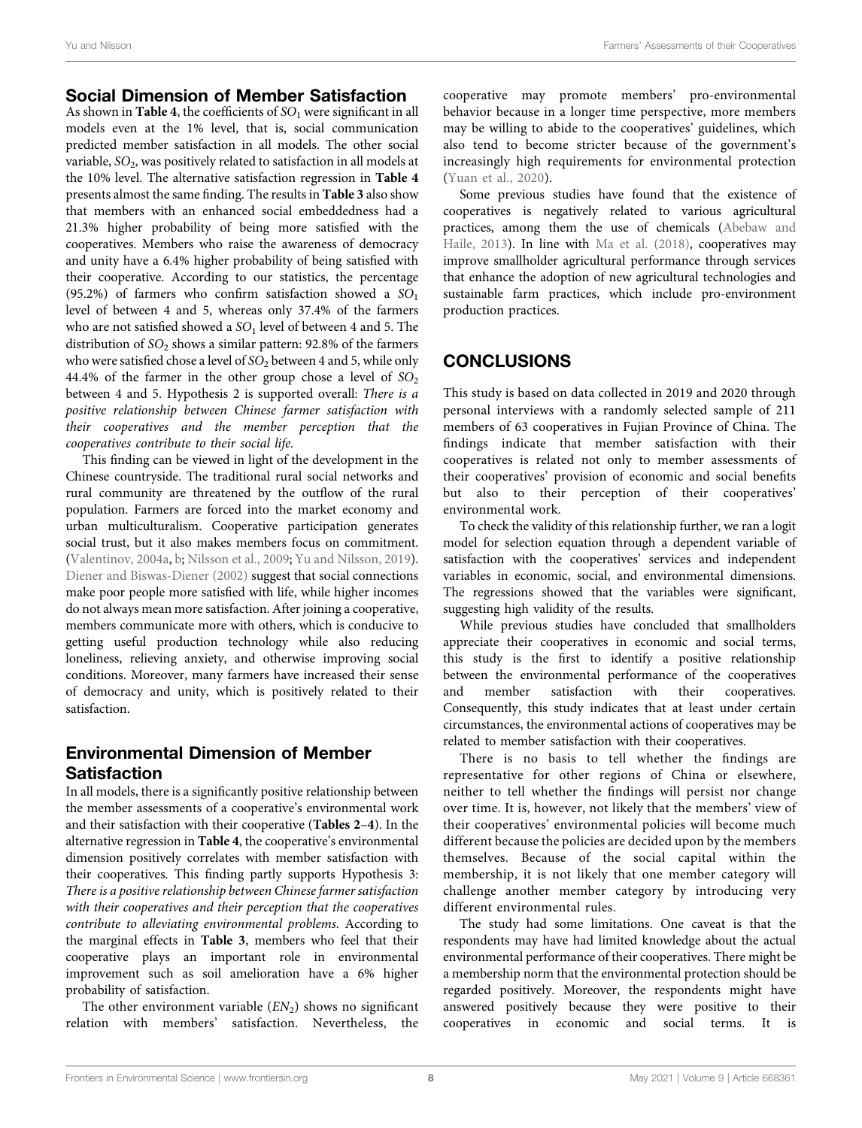## Social Dimension of Member Satisfaction

As shown in [Table 4](#page-6-2), the coefficients of  $SO<sub>1</sub>$  were significant in all models even at the 1% level, that is, social communication predicted member satisfaction in all models. The other social variable,  $SO_2$ , was positively related to satisfaction in all models at the 10% level. The alternative satisfaction regression in [Table 4](#page-6-2) presents almost the same finding. The results in [Table 3](#page-6-1) also show that members with an enhanced social embeddedness had a 21.3% higher probability of being more satisfied with the cooperatives. Members who raise the awareness of democracy and unity have a 6.4% higher probability of being satisfied with their cooperative. According to our statistics, the percentage (95.2%) of farmers who confirm satisfaction showed a  $SO_1$ level of between 4 and 5, whereas only 37.4% of the farmers who are not satisfied showed a  $SO<sub>1</sub>$  level of between 4 and 5. The distribution of  $SO_2$  shows a similar pattern: 92.8% of the farmers who were satisfied chose a level of  $SO<sub>2</sub>$  between 4 and 5, while only 44.4% of the farmer in the other group chose a level of  $SO_2$ between 4 and 5. Hypothesis 2 is supported overall: There is a positive relationship between Chinese farmer satisfaction with their cooperatives and the member perception that the cooperatives contribute to their social life.

This finding can be viewed in light of the development in the Chinese countryside. The traditional rural social networks and rural community are threatened by the outflow of the rural population. Farmers are forced into the market economy and urban multiculturalism. Cooperative participation generates social trust, but it also makes members focus on commitment. ([Valentinov, 2004a,](#page-9-9) [b](#page-9-25); [Nilsson et al., 2009;](#page-9-26) [Yu and Nilsson, 2019\)](#page-10-3). [Diener and Biswas-Diener \(2002\)](#page-8-19) suggest that social connections make poor people more satisfied with life, while higher incomes do not always mean more satisfaction. After joining a cooperative, members communicate more with others, which is conducive to getting useful production technology while also reducing loneliness, relieving anxiety, and otherwise improving social conditions. Moreover, many farmers have increased their sense of democracy and unity, which is positively related to their satisfaction.

## Environmental Dimension of Member Satisfaction

In all models, there is a significantly positive relationship between the member assessments of a cooperative's environmental work and their satisfaction with their cooperative ([Tables 2](#page-5-0)–[4](#page-6-2)). In the alternative regression in [Table 4](#page-6-2), the cooperative's environmental dimension positively correlates with member satisfaction with their cooperatives. This finding partly supports Hypothesis 3: There is a positive relationship between Chinese farmer satisfaction with their cooperatives and their perception that the cooperatives contribute to alleviating environmental problems. According to the marginal effects in [Table 3](#page-6-1), members who feel that their cooperative plays an important role in environmental improvement such as soil amelioration have a 6% higher probability of satisfaction.

The other environment variable  $(EN_2)$  shows no significant relation with members' satisfaction. Nevertheless, the cooperative may promote members' pro-environmental behavior because in a longer time perspective, more members may be willing to abide to the cooperatives' guidelines, which also tend to become stricter because of the government's increasingly high requirements for environmental protection [\(Yuan et al., 2020](#page-10-9)).

Some previous studies have found that the existence of cooperatives is negatively related to various agricultural practices, among them the use of chemicals [\(Abebaw and](#page-8-15) [Haile, 2013\)](#page-8-15). In line with [Ma et al. \(2018\)](#page-9-35), cooperatives may improve smallholder agricultural performance through services that enhance the adoption of new agricultural technologies and sustainable farm practices, which include pro-environment production practices.

# <span id="page-7-0"></span>**CONCLUSIONS**

This study is based on data collected in 2019 and 2020 through personal interviews with a randomly selected sample of 211 members of 63 cooperatives in Fujian Province of China. The findings indicate that member satisfaction with their cooperatives is related not only to member assessments of their cooperatives' provision of economic and social benefits but also to their perception of their cooperatives' environmental work.

To check the validity of this relationship further, we ran a logit model for selection equation through a dependent variable of satisfaction with the cooperatives' services and independent variables in economic, social, and environmental dimensions. The regressions showed that the variables were significant, suggesting high validity of the results.

While previous studies have concluded that smallholders appreciate their cooperatives in economic and social terms, this study is the first to identify a positive relationship between the environmental performance of the cooperatives and member satisfaction with their cooperatives. Consequently, this study indicates that at least under certain circumstances, the environmental actions of cooperatives may be related to member satisfaction with their cooperatives.

There is no basis to tell whether the findings are representative for other regions of China or elsewhere, neither to tell whether the findings will persist nor change over time. It is, however, not likely that the members' view of their cooperatives' environmental policies will become much different because the policies are decided upon by the members themselves. Because of the social capital within the membership, it is not likely that one member category will challenge another member category by introducing very different environmental rules.

The study had some limitations. One caveat is that the respondents may have had limited knowledge about the actual environmental performance of their cooperatives. There might be a membership norm that the environmental protection should be regarded positively. Moreover, the respondents might have answered positively because they were positive to their cooperatives in economic and social terms. It is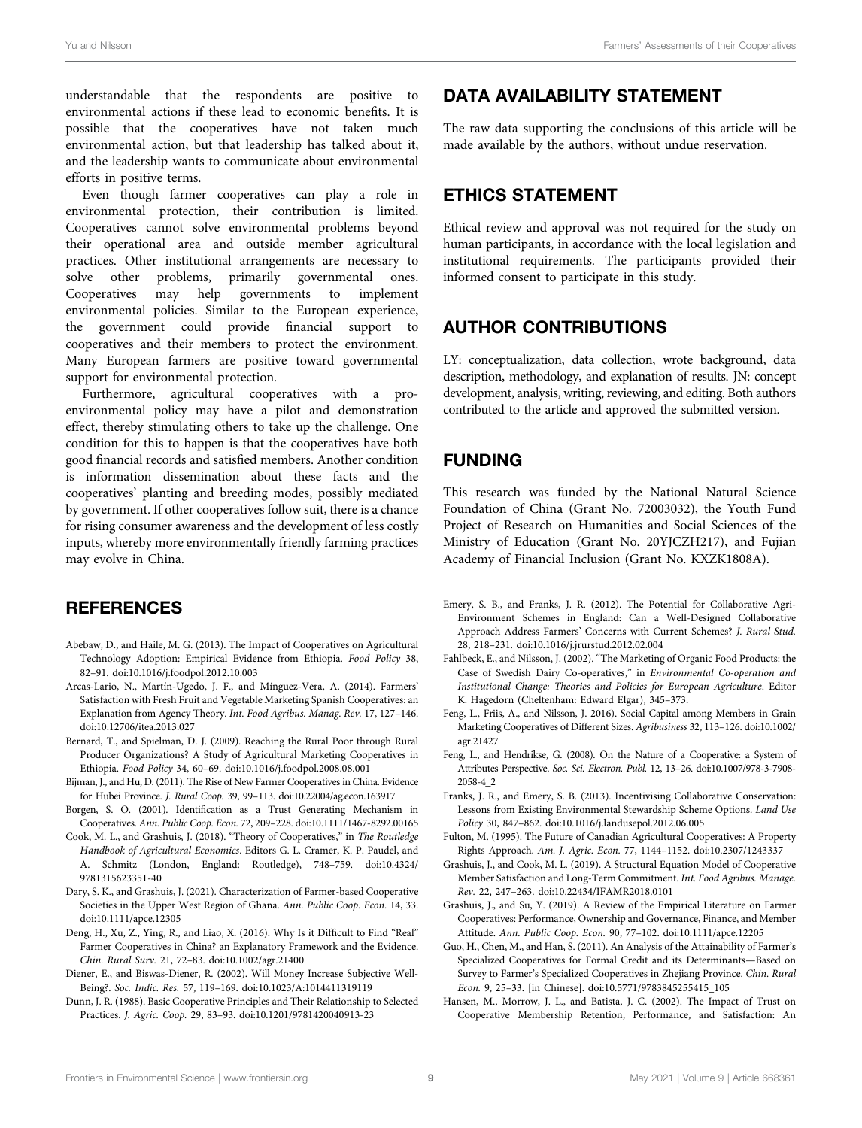understandable that the respondents are positive to environmental actions if these lead to economic benefits. It is possible that the cooperatives have not taken much environmental action, but that leadership has talked about it, and the leadership wants to communicate about environmental efforts in positive terms.

Even though farmer cooperatives can play a role in environmental protection, their contribution is limited. Cooperatives cannot solve environmental problems beyond their operational area and outside member agricultural practices. Other institutional arrangements are necessary to solve other problems, primarily governmental ones. Cooperatives may help governments to implement environmental policies. Similar to the European experience, the government could provide financial support to cooperatives and their members to protect the environment. Many European farmers are positive toward governmental support for environmental protection.

Furthermore, agricultural cooperatives with a proenvironmental policy may have a pilot and demonstration effect, thereby stimulating others to take up the challenge. One condition for this to happen is that the cooperatives have both good financial records and satisfied members. Another condition is information dissemination about these facts and the cooperatives' planting and breeding modes, possibly mediated by government. If other cooperatives follow suit, there is a chance for rising consumer awareness and the development of less costly inputs, whereby more environmentally friendly farming practices may evolve in China.

## **REFERENCES**

- <span id="page-8-15"></span>Abebaw, D., and Haile, M. G. (2013). The Impact of Cooperatives on Agricultural Technology Adoption: Empirical Evidence from Ethiopia. Food Policy 38, 82–91. doi:[10.1016/j.foodpol.2012.10.003](https://doi.org/10.1016/j.foodpol.2012.10.003)
- <span id="page-8-0"></span>Arcas-Lario, N., Martín-Ugedo, J. F., and Mínguez-Vera, A. (2014). Farmers' Satisfaction with Fresh Fruit and Vegetable Marketing Spanish Cooperatives: an Explanation from Agency Theory. Int. Food Agribus. Manag. Rev. 17, 127–146. doi:[10.12706/itea.2013.027](https://doi.org/10.12706/itea.2013.027)
- <span id="page-8-18"></span>Bernard, T., and Spielman, D. J. (2009). Reaching the Rural Poor through Rural Producer Organizations? A Study of Agricultural Marketing Cooperatives in Ethiopia. Food Policy 34, 60–69. doi:[10.1016/j.foodpol.2008.08.001](https://doi.org/10.1016/j.foodpol.2008.08.001)
- <span id="page-8-9"></span>Bijman, J., and Hu, D. (2011). The Rise of New Farmer Cooperatives in China. Evidence for Hubei Province. J. Rural Coop. 39, 99–113. doi[:10.22004/ag.econ.163917](https://doi.org/10.22004/ag.econ.163917)
- <span id="page-8-2"></span>Borgen, S. O. (2001). Identification as a Trust Generating Mechanism in Cooperatives. Ann. Public Coop. Econ. 72, 209–228. doi:[10.1111/1467-8292.00165](https://doi.org/10.1111/1467-8292.00165)
- <span id="page-8-6"></span>Cook, M. L., and Grashuis, J. (2018). "Theory of Cooperatives," in The Routledge Handbook of Agricultural Economics. Editors G. L. Cramer, K. P. Paudel, and A. Schmitz (London, England: Routledge), 748–759. doi:[10.4324/](https://doi.org/10.4324/9781315623351-40) [9781315623351-40](https://doi.org/10.4324/9781315623351-40)
- <span id="page-8-12"></span>Dary, S. K., and Grashuis, J. (2021). Characterization of Farmer-based Cooperative Societies in the Upper West Region of Ghana. Ann. Public Coop. Econ. 14, 33. doi:[10.1111/apce.12305](https://doi.org/10.1111/apce.12305)
- <span id="page-8-7"></span>Deng, H., Xu, Z., Ying, R., and Liao, X. (2016). Why Is it Difficult to Find "Real" Farmer Cooperatives in China? an Explanatory Framework and the Evidence. Chin. Rural Surv. 21, 72–83. doi:[10.1002/agr.21400](https://doi.org/10.1002/agr.21400)
- <span id="page-8-19"></span>Diener, E., and Biswas-Diener, R. (2002). Will Money Increase Subjective Well-Being?. Soc. Indic. Res. 57, 119–169. doi[:10.1023/A:1014411319119](https://doi.org/10.1023/A:1014411319119)
- <span id="page-8-8"></span>Dunn, J. R. (1988). Basic Cooperative Principles and Their Relationship to Selected Practices. J. Agric. Coop. 29, 83–93. doi:[10.1201/9781420040913-23](https://doi.org/10.1201/9781420040913-23)

## DATA AVAILABILITY STATEMENT

The raw data supporting the conclusions of this article will be made available by the authors, without undue reservation.

## ETHICS STATEMENT

Ethical review and approval was not required for the study on human participants, in accordance with the local legislation and institutional requirements. The participants provided their informed consent to participate in this study.

# AUTHOR CONTRIBUTIONS

LY: conceptualization, data collection, wrote background, data description, methodology, and explanation of results. JN: concept development, analysis, writing, reviewing, and editing. Both authors contributed to the article and approved the submitted version.

## FUNDING

This research was funded by the National Natural Science Foundation of China (Grant No. 72003032), the Youth Fund Project of Research on Humanities and Social Sciences of the Ministry of Education (Grant No. 20YJCZH217), and Fujian Academy of Financial Inclusion (Grant No. KXZK1808A).

- <span id="page-8-13"></span>Emery, S. B., and Franks, J. R. (2012). The Potential for Collaborative Agri-Environment Schemes in England: Can a Well-Designed Collaborative Approach Address Farmers' Concerns with Current Schemes? J. Rural Stud. 28, 218–231. doi[:10.1016/j.jrurstud.2012.02.004](https://doi.org/10.1016/j.jrurstud.2012.02.004)
- <span id="page-8-14"></span>Fahlbeck, E., and Nilsson, J. (2002). "The Marketing of Organic Food Products: the Case of Swedish Dairy Co-operatives," in Environmental Co-operation and Institutional Change: Theories and Policies for European Agriculture. Editor K. Hagedorn (Cheltenham: Edward Elgar), 345–373.
- <span id="page-8-16"></span>Feng, L., Friis, A., and Nilsson, J. 2016). Social Capital among Members in Grain Marketing Cooperatives of Different Sizes. Agribusiness 32, 113–126. doi[:10.1002/](https://doi.org/10.1002/agr.21427) [agr.21427](https://doi.org/10.1002/agr.21427)
- <span id="page-8-3"></span>Feng, L., and Hendrikse, G. (2008). On the Nature of a Cooperative: a System of Attributes Perspective. Soc. Sci. Electron. Publ. 12, 13–26. doi[:10.1007/978-3-7908-](https://doi.org/10.1007/978-3-7908-2058-4_2) [2058-4\\_2](https://doi.org/10.1007/978-3-7908-2058-4_2)
- <span id="page-8-4"></span>Franks, J. R., and Emery, S. B. (2013). Incentivising Collaborative Conservation: Lessons from Existing Environmental Stewardship Scheme Options. Land Use Policy 30, 847–862. doi[:10.1016/j.landusepol.2012.06.005](https://doi.org/10.1016/j.landusepol.2012.06.005)
- <span id="page-8-5"></span>Fulton, M. (1995). The Future of Canadian Agricultural Cooperatives: A Property Rights Approach. Am. J. Agric. Econ. 77, 1144–1152. doi[:10.2307/1243337](https://doi.org/10.2307/1243337)
- <span id="page-8-1"></span>Grashuis, J., and Cook, M. L. (2019). A Structural Equation Model of Cooperative Member Satisfaction and Long-Term Commitment. Int. Food Agribus. Manage. Rev. 22, 247–263. doi:[10.22434/IFAMR2018.0101](https://doi.org/10.22434/IFAMR2018.0101)
- <span id="page-8-10"></span>Grashuis, J., and Su, Y. (2019). A Review of the Empirical Literature on Farmer Cooperatives: Performance, Ownership and Governance, Finance, and Member Attitude. Ann. Public Coop. Econ. 90, 77–102. doi[:10.1111/apce.12205](https://doi.org/10.1111/apce.12205)
- <span id="page-8-17"></span>Guo, H., Chen, M., and Han, S. (2011). An Analysis of the Attainability of Farmer's Specialized Cooperatives for Formal Credit and its Determinants—Based on Survey to Farmer's Specialized Cooperatives in Zhejiang Province. Chin. Rural Econ. 9, 25–33. [in Chinese]. doi:[10.5771/9783845255415\\_105](https://doi.org/10.5771/9783845255415_105)
- <span id="page-8-11"></span>Hansen, M., Morrow, J. L., and Batista, J. C. (2002). The Impact of Trust on Cooperative Membership Retention, Performance, and Satisfaction: An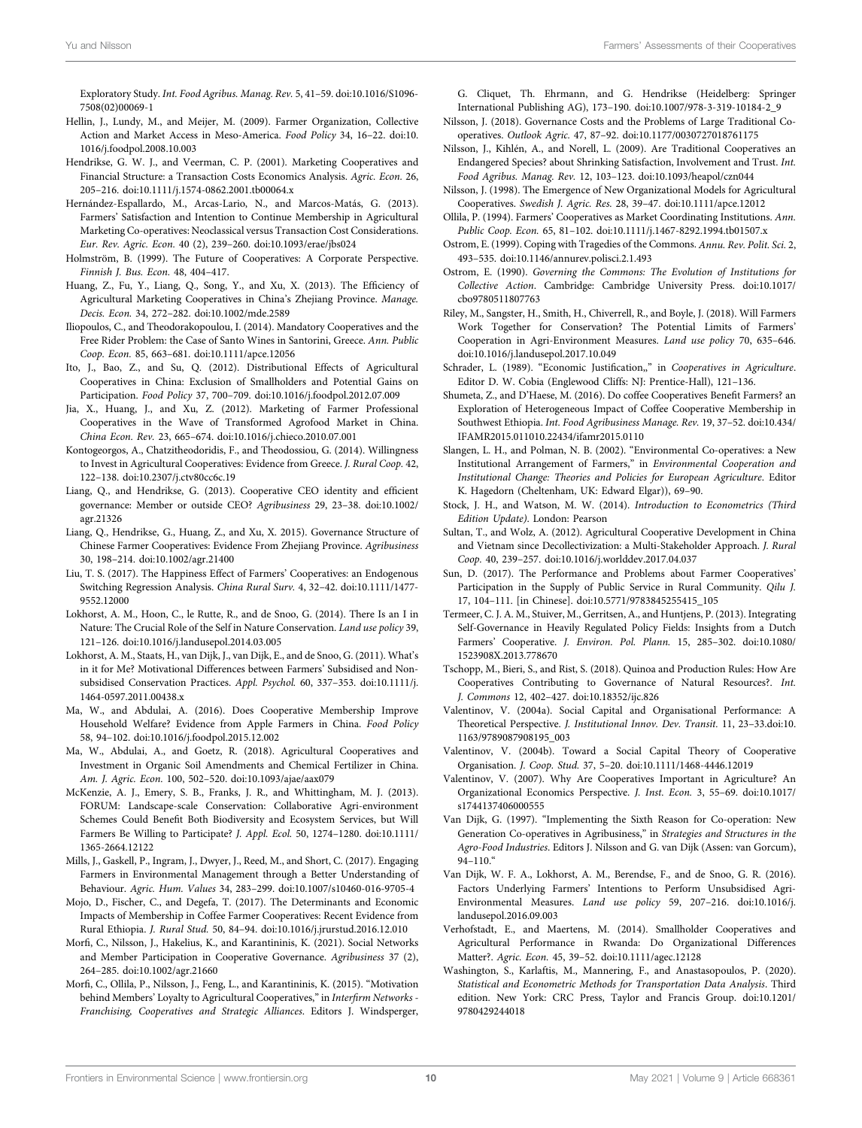Exploratory Study. Int. Food Agribus. Manag. Rev. 5, 41–59. doi[:10.1016/S1096-](https://doi.org/10.1016/S1096-7508(02)00069-1) [7508\(02\)00069-1](https://doi.org/10.1016/S1096-7508(02)00069-1)

- <span id="page-9-39"></span>Hellin, J., Lundy, M., and Meijer, M. (2009). Farmer Organization, Collective Action and Market Access in Meso-America. Food Policy 34, 16–22. doi[:10.](https://doi.org/10.1016/j.foodpol.2008.10.003) [1016/j.foodpol.2008.10.003](https://doi.org/10.1016/j.foodpol.2008.10.003)
- <span id="page-9-17"></span>Hendrikse, G. W. J., and Veerman, C. P. (2001). Marketing Cooperatives and Financial Structure: a Transaction Costs Economics Analysis. Agric. Econ. 26, 205–216. doi:[10.1111/j.1574-0862.2001.tb00064.x](https://doi.org/10.1111/j.1574-0862.2001.tb00064.x)
- <span id="page-9-0"></span>Hernández-Espallardo, M., Arcas-Lario, N., and Marcos-Matás, G. (2013). Farmers' Satisfaction and Intention to Continue Membership in Agricultural Marketing Co-operatives: Neoclassical versus Transaction Cost Considerations. Eur. Rev. Agric. Econ. 40 (2), 239–260. doi:[10.1093/erae/jbs024](https://doi.org/10.1093/erae/jbs024)
- <span id="page-9-8"></span>Holmström, B. (1999). The Future of Cooperatives: A Corporate Perspective. Finnish J. Bus. Econ. 48, 404–417.
- <span id="page-9-34"></span>Huang, Z., Fu, Y., Liang, Q., Song, Y., and Xu, X. (2013). The Efficiency of Agricultural Marketing Cooperatives in China's Zhejiang Province. Manage. Decis. Econ. 34, 272–282. doi:[10.1002/mde.2589](https://doi.org/10.1002/mde.2589)
- <span id="page-9-30"></span>Iliopoulos, C., and Theodorakopoulou, I. (2014). Mandatory Cooperatives and the Free Rider Problem: the Case of Santo Wines in Santorini, Greece. Ann. Public Coop. Econ. 85, 663–681. doi[:10.1111/apce.12056](https://doi.org/10.1111/apce.12056)
- <span id="page-9-40"></span>Ito, J., Bao, Z., and Su, Q. (2012). Distributional Effects of Agricultural Cooperatives in China: Exclusion of Smallholders and Potential Gains on Participation. Food Policy 37, 700–709. doi[:10.1016/j.foodpol.2012.07.009](https://doi.org/10.1016/j.foodpol.2012.07.009)
- <span id="page-9-41"></span>Jia, X., Huang, J., and Xu, Z. (2012). Marketing of Farmer Professional Cooperatives in the Wave of Transformed Agrofood Market in China. China Econ. Rev. 23, 665–674. doi[:10.1016/j.chieco.2010.07.001](https://doi.org/10.1016/j.chieco.2010.07.001)
- <span id="page-9-36"></span>Kontogeorgos, A., Chatzitheodoridis, F., and Theodossiou, G. (2014). Willingness to Invest in Agricultural Cooperatives: Evidence from Greece. J. Rural Coop. 42, 122–138. doi:[10.2307/j.ctv80cc6c.19](https://doi.org/10.2307/j.ctv80cc6c.19)
- <span id="page-9-12"></span>Liang, Q., and Hendrikse, G. (2013). Cooperative CEO identity and efficient governance: Member or outside CEO? Agribusiness 29, 23–38. doi:[10.1002/](https://doi.org/10.1002/agr.21326) [agr.21326](https://doi.org/10.1002/agr.21326)
- <span id="page-9-13"></span>Liang, Q., Hendrikse, G., Huang, Z., and Xu, X. 2015). Governance Structure of Chinese Farmer Cooperatives: Evidence From Zhejiang Province. Agribusiness 30, 198–214. doi[:10.1002/agr.21400](https://doi.org/10.1002/agr.21400)
- <span id="page-9-14"></span>Liu, T. S. (2017). The Happiness Effect of Farmers' Cooperatives: an Endogenous Switching Regression Analysis. China Rural Surv. 4, 32–42. doi:[10.1111/1477-](https://doi.org/10.1111/1477-9552.12000) [9552.12000](https://doi.org/10.1111/1477-9552.12000)
- <span id="page-9-32"></span>Lokhorst, A. M., Hoon, C., le Rutte, R., and de Snoo, G. (2014). There Is an I in Nature: The Crucial Role of the Self in Nature Conservation. Land use policy 39, 121–126. doi:[10.1016/j.landusepol.2014.03.005](https://doi.org/10.1016/j.landusepol.2014.03.005)
- <span id="page-9-5"></span>Lokhorst, A. M., Staats, H., van Dijk, J., van Dijk, E., and de Snoo, G. (2011). What's in it for Me? Motivational Differences between Farmers' Subsidised and Nonsubsidised Conservation Practices. Appl. Psychol. 60, 337–353. doi[:10.1111/j.](https://doi.org/10.1111/j.1464-0597.2011.00438.x) [1464-0597.2011.00438.x](https://doi.org/10.1111/j.1464-0597.2011.00438.x)
- <span id="page-9-18"></span>Ma, W., and Abdulai, A. (2016). Does Cooperative Membership Improve Household Welfare? Evidence from Apple Farmers in China. Food Policy 58, 94–102. doi:[10.1016/j.foodpol.2015.12.002](https://doi.org/10.1016/j.foodpol.2015.12.002)
- <span id="page-9-35"></span>Ma, W., Abdulai, A., and Goetz, R. (2018). Agricultural Cooperatives and Investment in Organic Soil Amendments and Chemical Fertilizer in China. Am. J. Agric. Econ. 100, 502–520. doi:[10.1093/ajae/aax079](https://doi.org/10.1093/ajae/aax079)
- <span id="page-9-33"></span>McKenzie, A. J., Emery, S. B., Franks, J. R., and Whittingham, M. J. (2013). FORUM: Landscape-scale Conservation: Collaborative Agri-environment Schemes Could Benefit Both Biodiversity and Ecosystem Services, but Will Farmers Be Willing to Participate? J. Appl. Ecol. 50, 1274–1280. doi:[10.1111/](https://doi.org/10.1111/1365-2664.12122) [1365-2664.12122](https://doi.org/10.1111/1365-2664.12122)
- <span id="page-9-6"></span>Mills, J., Gaskell, P., Ingram, J., Dwyer, J., Reed, M., and Short, C. (2017). Engaging Farmers in Environmental Management through a Better Understanding of Behaviour. Agric. Hum. Values 34, 283–299. doi:[10.1007/s10460-016-9705-4](https://doi.org/10.1007/s10460-016-9705-4)
- <span id="page-9-20"></span>Mojo, D., Fischer, C., and Degefa, T. (2017). The Determinants and Economic Impacts of Membership in Coffee Farmer Cooperatives: Recent Evidence from Rural Ethiopia. J. Rural Stud. 50, 84–94. doi:[10.1016/j.jrurstud.2016.12.010](https://doi.org/10.1016/j.jrurstud.2016.12.010)
- <span id="page-9-2"></span>Morfi, C., Nilsson, J., Hakelius, K., and Karantininis, K. (2021). Social Networks and Member Participation in Cooperative Governance. Agribusiness 37 (2), 264–285. doi:[10.1002/agr.21660](https://doi.org/10.1002/agr.21660)
- <span id="page-9-1"></span>Morfi, C., Ollila, P., Nilsson, J., Feng, L., and Karantininis, K. (2015). "Motivation behind Members' Loyalty to Agricultural Cooperatives," in Interfirm Networks -Franchising, Cooperatives and Strategic Alliances. Editors J. Windsperger,

G. Cliquet, Th. Ehrmann, and G. Hendrikse (Heidelberg: Springer International Publishing AG), 173–190. doi:[10.1007/978-3-319-10184-2\\_9](https://doi.org/10.1007/978-3-319-10184-2_9)

- <span id="page-9-24"></span>Nilsson, J. (2018). Governance Costs and the Problems of Large Traditional Cooperatives. Outlook Agric. 47, 87–92. doi[:10.1177/0030727018761175](https://doi.org/10.1177/0030727018761175)
- <span id="page-9-26"></span>Nilsson, J., Kihlén, A., and Norell, L. (2009). Are Traditional Cooperatives an Endangered Species? about Shrinking Satisfaction, Involvement and Trust. Int. Food Agribus. Manag. Rev. 12, 103–123. doi[:10.1093/heapol/czn044](https://doi.org/10.1093/heapol/czn044)
- <span id="page-9-23"></span>Nilsson, J. (1998). The Emergence of New Organizational Models for Agricultural Cooperatives. Swedish J. Agric. Res. 28, 39–47. doi[:10.1111/apce.12012](https://doi.org/10.1111/apce.12012)
- <span id="page-9-16"></span>Ollila, P. (1994). Farmers' Cooperatives as Market Coordinating Institutions. Ann. Public Coop. Econ. 65, 81–102. doi[:10.1111/j.1467-8292.1994.tb01507.x](https://doi.org/10.1111/j.1467-8292.1994.tb01507.x)
- <span id="page-9-28"></span>Ostrom, E. (1999). Coping with Tragedies of the Commons. Annu. Rev. Polit. Sci. 2, 493–535. doi:[10.1146/annurev.polisci.2.1.493](https://doi.org/10.1146/annurev.polisci.2.1.493)
- <span id="page-9-27"></span>Ostrom, E. (1990). Governing the Commons: The Evolution of Institutions for Collective Action. Cambridge: Cambridge University Press. doi[:10.1017/](https://doi.org/10.1017/cbo9780511807763) [cbo9780511807763](https://doi.org/10.1017/cbo9780511807763)
- <span id="page-9-7"></span>Riley, M., Sangster, H., Smith, H., Chiverrell, R., and Boyle, J. (2018). Will Farmers Work Together for Conservation? The Potential Limits of Farmers' Cooperation in Agri-Environment Measures. Land use policy 70, 635–646. doi[:10.1016/j.landusepol.2017.10.049](https://doi.org/10.1016/j.landusepol.2017.10.049)
- <span id="page-9-21"></span>Schrader, L. (1989). "Economic Justification,," in Cooperatives in Agriculture. Editor D. W. Cobia (Englewood Cliffs: NJ: Prentice-Hall), 121–136.
- <span id="page-9-19"></span>Shumeta, Z., and D'Haese, M. (2016). Do coffee Cooperatives Benefit Farmers? an Exploration of Heterogeneous Impact of Coffee Cooperative Membership in Southwest Ethiopia. Int. Food Agribusiness Manage. Rev. 19, 37–52. doi:[10.434/](https://doi.org/10.434/IFAMR2015.011010.22434/ifamr2015.0110) [IFAMR2015.011010.22434/ifamr2015.0110](https://doi.org/10.434/IFAMR2015.011010.22434/ifamr2015.0110)
- <span id="page-9-3"></span>Slangen, L. H., and Polman, N. B. (2002). "Environmental Co-operatives: a New Institutional Arrangement of Farmers," in Environmental Cooperation and Institutional Change: Theories and Policies for European Agriculture. Editor K. Hagedorn (Cheltenham, UK: Edward Elgar)), 69–90.
- <span id="page-9-37"></span>Stock, J. H., and Watson, M. W. (2014). Introduction to Econometrics (Third Edition Update). London: Pearson
- <span id="page-9-11"></span>Sultan, T., and Wolz, A. (2012). Agricultural Cooperative Development in China and Vietnam since Decollectivization: a Multi-Stakeholder Approach. J. Rural Coop. 40, 239–257. doi:[10.1016/j.worlddev.2017.04.037](https://doi.org/10.1016/j.worlddev.2017.04.037)
- <span id="page-9-15"></span>Sun, D. (2017). The Performance and Problems about Farmer Cooperatives' Participation in the Supply of Public Service in Rural Community. Qilu J. 17, 104–111. [in Chinese]. doi:[10.5771/9783845255415\\_105](https://doi.org/10.5771/9783845255415_105)
- <span id="page-9-29"></span>Termeer, C. J. A. M., Stuiver, M., Gerritsen, A., and Huntjens, P. (2013). Integrating Self-Governance in Heavily Regulated Policy Fields: Insights from a Dutch Farmers' Cooperative. J. Environ. Pol. Plann. 15, 285–302. doi[:10.1080/](https://doi.org/10.1080/1523908X.2013.778670) [1523908X.2013.778670](https://doi.org/10.1080/1523908X.2013.778670)
- <span id="page-9-31"></span>Tschopp, M., Bieri, S., and Rist, S. (2018). Quinoa and Production Rules: How Are Cooperatives Contributing to Governance of Natural Resources?. Int. J. Commons 12, 402–427. doi:[10.18352/ijc.826](https://doi.org/10.18352/ijc.826)
- <span id="page-9-9"></span>Valentinov, V. (2004a). Social Capital and Organisational Performance: A Theoretical Perspective. J. Institutional Innov. Dev. Transit. 11, 23–33.doi[:10.](https://doi.org/10.1163/9789087908195_003) [1163/9789087908195\\_003](https://doi.org/10.1163/9789087908195_003)
- <span id="page-9-25"></span>Valentinov, V. (2004b). Toward a Social Capital Theory of Cooperative Organisation. J. Coop. Stud. 37, 5–20. doi:[10.1111/1468-4446.12019](https://doi.org/10.1111/1468-4446.12019)
- <span id="page-9-10"></span>Valentinov, V. (2007). Why Are Cooperatives Important in Agriculture? An Organizational Economics Perspective. J. Inst. Econ. 3, 55–69. doi[:10.1017/](https://doi.org/10.1017/s1744137406000555) [s1744137406000555](https://doi.org/10.1017/s1744137406000555)
- <span id="page-9-22"></span>Van Dijk, G. (1997). "Implementing the Sixth Reason for Co-operation: New Generation Co-operatives in Agribusiness," in Strategies and Structures in the Agro-Food Industries. Editors J. Nilsson and G. van Dijk (Assen: van Gorcum),  $94 - 110$ ."
- <span id="page-9-4"></span>Van Dijk, W. F. A., Lokhorst, A. M., Berendse, F., and de Snoo, G. R. (2016). Factors Underlying Farmers' Intentions to Perform Unsubsidised Agri-Environmental Measures. Land use policy 59, 207–216. doi:[10.1016/j.](https://doi.org/10.1016/j.landusepol.2016.09.003) [landusepol.2016.09.003](https://doi.org/10.1016/j.landusepol.2016.09.003)
- <span id="page-9-42"></span>Verhofstadt, E., and Maertens, M. (2014). Smallholder Cooperatives and Agricultural Performance in Rwanda: Do Organizational Differences Matter?. Agric. Econ. 45, 39–52. doi:[10.1111/agec.12128](https://doi.org/10.1111/agec.12128)
- <span id="page-9-38"></span>Washington, S., Karlaftis, M., Mannering, F., and Anastasopoulos, P. (2020). Statistical and Econometric Methods for Transportation Data Analysis. Third edition. New York: CRC Press, Taylor and Francis Group. doi[:10.1201/](https://doi.org/10.1201/9780429244018) [9780429244018](https://doi.org/10.1201/9780429244018)